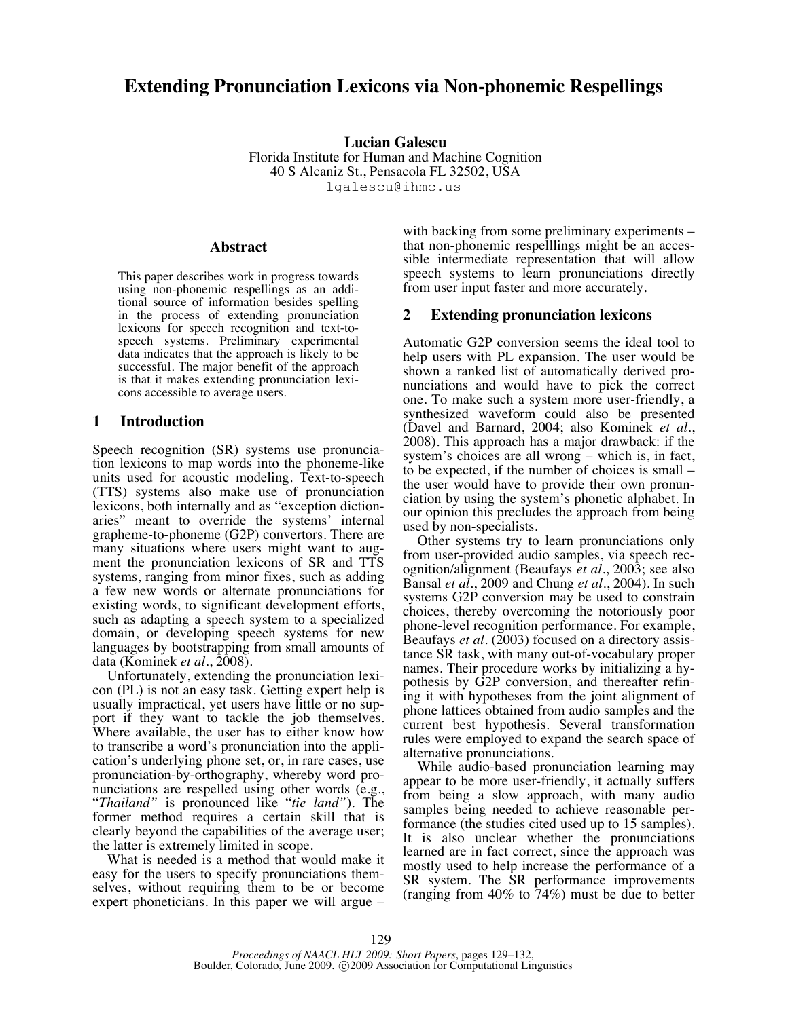# **Extending Pronunciation Lexicons via Non-phonemic Respellings**

**Lucian Galescu** Florida Institute for Human and Machine Cognition 40 S Alcaniz St., Pensacola FL 32502, USA lgalescu@ihmc.us

#### **Abstract**

This paper describes work in progress towards using non-phonemic respellings as an additional source of information besides spelling in the process of extending pronunciation lexicons for speech recognition and text-tospeech systems. Preliminary experimental data indicates that the approach is likely to be successful. The major benefit of the approach is that it makes extending pronunciation lexicons accessible to average users.

## **1 Introduction**

Speech recognition (SR) systems use pronunciation lexicons to map words into the phoneme-like units used for acoustic modeling. Text-to-speech (TTS) systems also make use of pronunciation lexicons, both internally and as "exception dictionaries" meant to override the systems' internal grapheme-to-phoneme (G2P) convertors. There are many situations where users might want to augment the pronunciation lexicons of SR and TTS systems, ranging from minor fixes, such as adding a few new words or alternate pronunciations for existing words, to significant development efforts, such as adapting a speech system to a specialized domain, or developing speech systems for new languages by bootstrapping from small amounts of data (Kominek *et al.*, 2008).

Unfortunately, extending the pronunciation lexicon (PL) is not an easy task. Getting expert help is usually impractical, yet users have little or no support if they want to tackle the job themselves. Where available, the user has to either know how to transcribe a word's pronunciation into the application's underlying phone set, or, in rare cases, use pronunciation-by-orthography, whereby word pronunciations are respelled using other words (e.g., "*Thailand"* is pronounced like "*tie land"*)*.* The former method requires a certain skill that is clearly beyond the capabilities of the average user; the latter is extremely limited in scope.

What is needed is a method that would make it easy for the users to specify pronunciations themselves, without requiring them to be or become expert phoneticians. In this paper we will argue –

with backing from some preliminary experiments – that non-phonemic respelllings might be an accessible intermediate representation that will allow speech systems to learn pronunciations directly from user input faster and more accurately.

### **2 Extending pronunciation lexicons**

Automatic G2P conversion seems the ideal tool to help users with PL expansion. The user would be shown a ranked list of automatically derived pronunciations and would have to pick the correct one. To make such a system more user-friendly, a synthesized waveform could also be presented (Davel and Barnard, 2004; also Kominek *et al.*, 2008). This approach has a major drawback: if the system's choices are all wrong – which is, in fact, to be expected, if the number of choices is small – the user would have to provide their own pronunciation by using the system's phonetic alphabet. In our opinion this precludes the approach from being used by non-specialists.

Other systems try to learn pronunciations only from user-provided audio samples, via speech recognition/alignment (Beaufays *et al*., 2003; see also Bansal *et al*., 2009 and Chung *et al.*, 2004). In such systems G2P conversion may be used to constrain choices, thereby overcoming the notoriously poor phone-level recognition performance. For example, Beaufays *et al*. (2003) focused on a directory assistance SR task, with many out-of-vocabulary proper names. Their procedure works by initializing a hypothesis by G2P conversion, and thereafter refining it with hypotheses from the joint alignment of phone lattices obtained from audio samples and the current best hypothesis. Several transformation rules were employed to expand the search space of alternative pronunciations.

While audio-based pronunciation learning may appear to be more user-friendly, it actually suffers from being a slow approach, with many audio samples being needed to achieve reasonable performance (the studies cited used up to 15 samples). It is also unclear whether the pronunciations learned are in fact correct, since the approach was mostly used to help increase the performance of a SR system. The SR performance improvements (ranging from 40% to 74%) must be due to better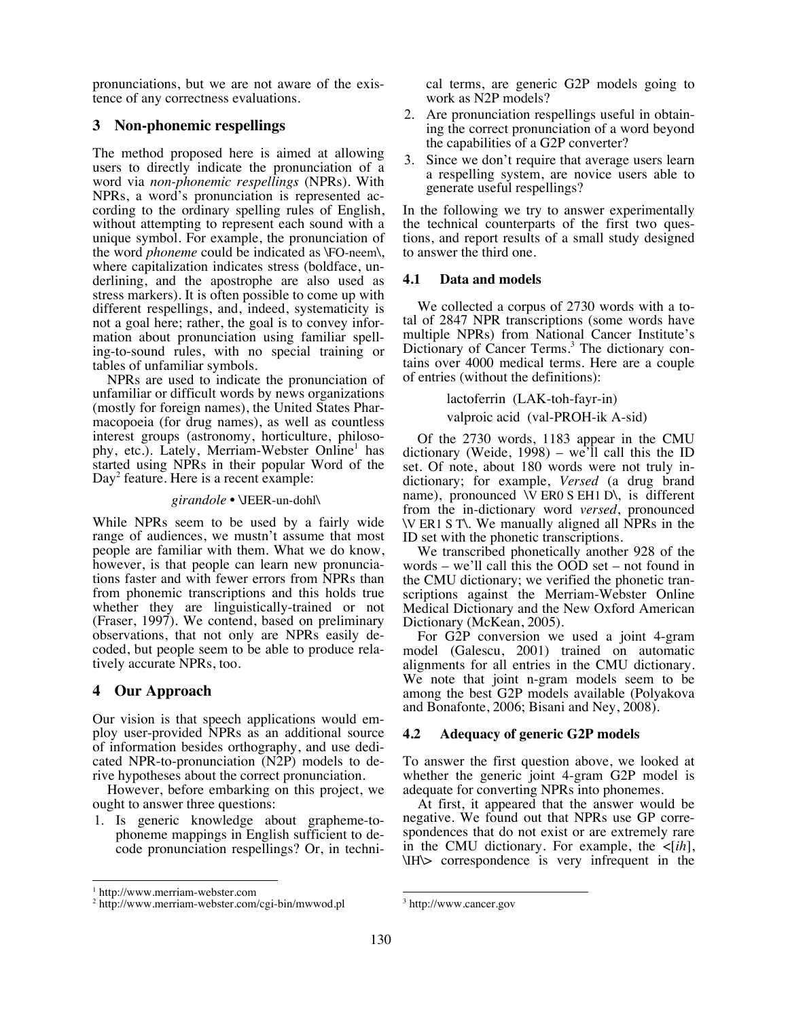pronunciations, but we are not aware of the existence of any correctness evaluations.

## **3 Non-phonemic respellings**

The method proposed here is aimed at allowing users to directly indicate the pronunciation of a word via *non-phonemic respellings* (NPRs). With NPRs, a word's pronunciation is represented according to the ordinary spelling rules of English, without attempting to represent each sound with a unique symbol. For example, the pronunciation of the word *phoneme* could be indicated as *\FO-neem\*, where capitalization indicates stress (boldface, underlining, and the apostrophe are also used as stress markers). It is often possible to come up with different respellings, and, indeed, systematicity is not a goal here; rather, the goal is to convey information about pronunciation using familiar spelling-to-sound rules, with no special training or tables of unfamiliar symbols.

NPRs are used to indicate the pronunciation of unfamiliar or difficult words by news organizations (mostly for foreign names), the United States Pharmacopoeia (for drug names), as well as countless interest groups (astronomy, horticulture, philosophy, etc.). Lately, Merriam-Webster Online<sup>1</sup> has started using NPRs in their popular Word of the Day<sup>2</sup> feature. Here is a recent example:

#### *girandole* • \JEER-un-dohl\

While NPRs seem to be used by a fairly wide range of audiences, we mustn't assume that most people are familiar with them. What we do know, however, is that people can learn new pronunciations faster and with fewer errors from NPRs than from phonemic transcriptions and this holds true whether they are linguistically-trained or not (Fraser, 1997). We contend, based on preliminary observations, that not only are NPRs easily decoded, but people seem to be able to produce relatively accurate NPRs, too.

# **4 Our Approach**

Our vision is that speech applications would employ user-provided NPRs as an additional source of information besides orthography, and use dedicated NPR-to-pronunciation (N2P) models to derive hypotheses about the correct pronunciation.

However, before embarking on this project, we ought to answer three questions:

1. Is generic knowledge about grapheme-tophoneme mappings in English sufficient to decode pronunciation respellings? Or, in technical terms, are generic G2P models going to work as N2P models?

- 2. Are pronunciation respellings useful in obtaining the correct pronunciation of a word beyond the capabilities of a G2P converter?
- 3. Since we don't require that average users learn a respelling system, are novice users able to generate useful respellings?

In the following we try to answer experimentally the technical counterparts of the first two questions, and report results of a small study designed to answer the third one.

### **4.1 Data and models**

We collected a corpus of 2730 words with a total of 2847 NPR transcriptions (some words have multiple NPRs) from National Cancer Institute's Dictionary of Cancer Terms.<sup>3</sup> The dictionary contains over 4000 medical terms. Here are a couple of entries (without the definitions):

lactoferrin (LAK-toh-fayr-in)

valproic acid (val-PROH-ik A-sid)

Of the 2730 words, 1183 appear in the CMU dictionary (Weide, 1998) – we'll call this the ID set. Of note, about 180 words were not truly indictionary; for example, *Versed* (a drug brand name), pronounced  $\overline{V}$  ER0 S EH1 D\, is different from the in-dictionary word *versed*, pronounced \V ER1 S T\. We manually aligned all NPRs in the ID set with the phonetic transcriptions.

We transcribed phonetically another 928 of the words – we'll call this the OOD set – not found in the CMU dictionary; we verified the phonetic transcriptions against the Merriam-Webster Online Medical Dictionary and the New Oxford American Dictionary (McKean, 2005).

For G2P conversion we used a joint 4-gram model (Galescu, 2001) trained on automatic alignments for all entries in the CMU dictionary. We note that joint n-gram models seem to be among the best G2P models available (Polyakova and Bonafonte, 2006; Bisani and Ney, 2008).

## **4.2 Adequacy of generic G2P models**

To answer the first question above, we looked at whether the generic joint 4-gram G2P model is adequate for converting NPRs into phonemes.

At first, it appeared that the answer would be negative. We found out that NPRs use GP correspondences that do not exist or are extremely rare in the CMU dictionary. For example, the  $\leq$ [*ih*], \IH\> correspondence is very infrequent in the

<sup>|&</sup>lt;br>|<br>| <sup>1</sup> http://www.merriam-webster.com

<sup>&</sup>lt;sup>2</sup> http://www.merriam-webster.com/cgi-bin/mwwod.pl

3 http://www.cancer.gov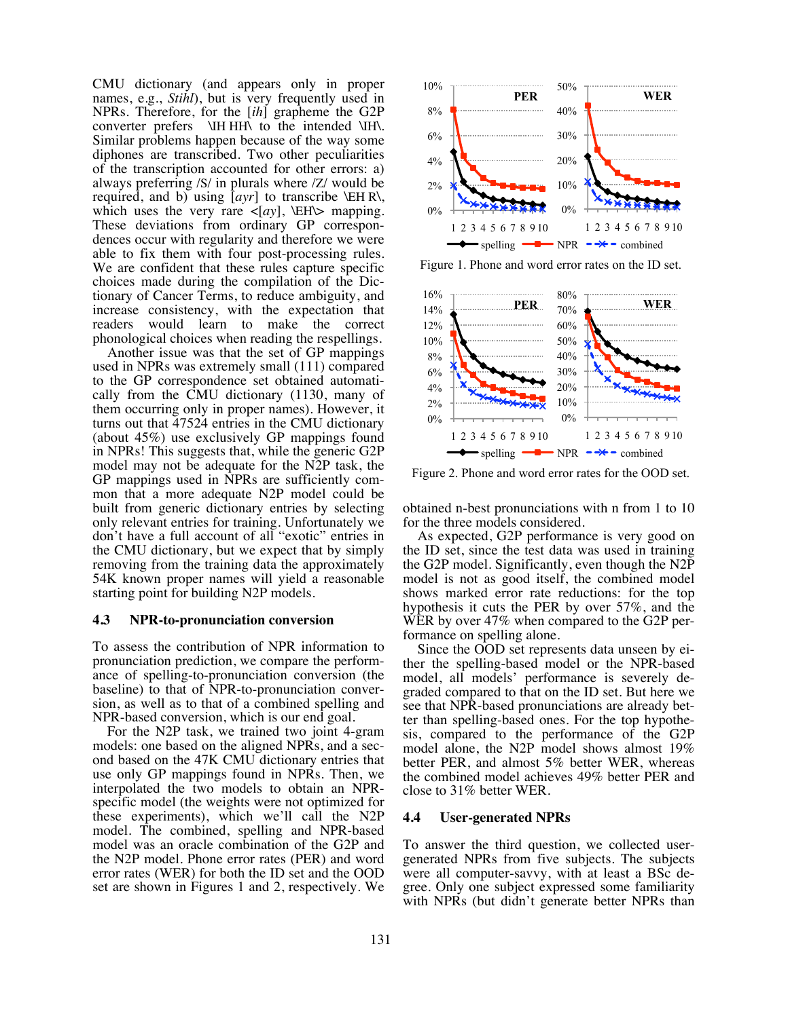CMU dictionary (and appears only in proper names, e.g., *Stihl*), but is very frequently used in NPRs. Therefore, for the [*ih*] grapheme the G2P converter prefers \IH HH\ to the intended \IH\. Similar problems happen because of the way some diphones are transcribed. Two other peculiarities of the transcription accounted for other errors: a) always preferring /S/ in plurals where /Z/ would be required, and b) using [*ayr*] to transcribe \EH R\, which uses the very rare  $\langle [ay], \triangle H \rangle$  mapping. These deviations from ordinary GP correspondences occur with regularity and therefore we were able to fix them with four post-processing rules. We are confident that these rules capture specific choices made during the compilation of the Dictionary of Cancer Terms, to reduce ambiguity, and increase consistency, with the expectation that readers would learn to make the correct phonological choices when reading the respellings.

Another issue was that the set of GP mappings used in NPRs was extremely small (111) compared to the GP correspondence set obtained automatically from the CMU dictionary (1130, many of them occurring only in proper names). However, it turns out that 47524 entries in the CMU dictionary (about 45%) use exclusively GP mappings found in NPRs! This suggests that, while the generic G2P model may not be adequate for the N2P task, the GP mappings used in NPRs are sufficiently common that a more adequate N2P model could be built from generic dictionary entries by selecting only relevant entries for training. Unfortunately we don't have a full account of all "exotic" entries in the CMU dictionary, but we expect that by simply removing from the training data the approximately 54K known proper names will yield a reasonable starting point for building N2P models.

#### **4.3 NPR-to-pronunciation conversion**

To assess the contribution of NPR information to pronunciation prediction, we compare the performance of spelling-to-pronunciation conversion (the baseline) to that of NPR-to-pronunciation conversion, as well as to that of a combined spelling and NPR-based conversion, which is our end goal.

For the N2P task, we trained two joint 4-gram models: one based on the aligned NPRs, and a second based on the 47K CMU dictionary entries that use only GP mappings found in NPRs. Then, we interpolated the two models to obtain an NPR- specific model (the weights were not optimized for these experiments), which we'll call the N2P model. The combined, spelling and NPR-based model was an oracle combination of the G2P and the N2P model. Phone error rates (PER) and word error rates (WER) for both the ID set and the OOD set are shown in Figures 1 and 2, respectively. We



Figure 1. Phone and word error rates on the ID set.



Figure 2. Phone and word error rates for the OOD set.

obtained n-best pronunciations with n from 1 to 10 for the three models considered.

As expected, G2P performance is very good on the ID set, since the test data was used in training the G2P model. Significantly, even though the N2P model is not as good itself, the combined model shows marked error rate reductions: for the top hypothesis it cuts the PER by over 57%, and the WER by over 47% when compared to the G2P performance on spelling alone.

Since the OOD set represents data unseen by either the spelling-based model or the NPR-based model, all models' performance is severely degraded compared to that on the ID set. But here we see that NPR-based pronunciations are already better than spelling-based ones. For the top hypothesis, compared to the performance of the G2P model alone, the N2P model shows almost 19% better PER, and almost 5% better WER, whereas the combined model achieves 49% better PER and close to 31% better WER.

#### **4.4 User-generated NPRs**

To answer the third question, we collected usergenerated NPRs from five subjects. The subjects were all computer-savvy, with at least a BSc degree. Only one subject expressed some familiarity with NPRs (but didn't generate better NPRs than